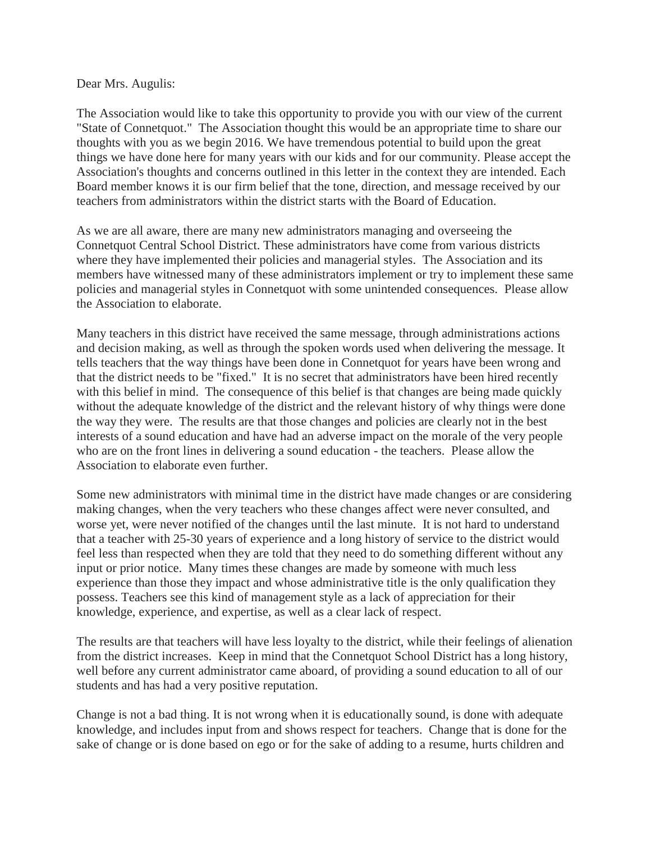## Dear Mrs. Augulis:

The Association would like to take this opportunity to provide you with our view of the current "State of Connetquot." The Association thought this would be an appropriate time to share our thoughts with you as we begin 2016. We have tremendous potential to build upon the great things we have done here for many years with our kids and for our community. Please accept the Association's thoughts and concerns outlined in this letter in the context they are intended. Each Board member knows it is our firm belief that the tone, direction, and message received by our teachers from administrators within the district starts with the Board of Education.

As we are all aware, there are many new administrators managing and overseeing the Connetquot Central School District. These administrators have come from various districts where they have implemented their policies and managerial styles. The Association and its members have witnessed many of these administrators implement or try to implement these same policies and managerial styles in Connetquot with some unintended consequences. Please allow the Association to elaborate.

Many teachers in this district have received the same message, through administrations actions and decision making, as well as through the spoken words used when delivering the message. It tells teachers that the way things have been done in Connetquot for years have been wrong and that the district needs to be "fixed." It is no secret that administrators have been hired recently with this belief in mind. The consequence of this belief is that changes are being made quickly without the adequate knowledge of the district and the relevant history of why things were done the way they were. The results are that those changes and policies are clearly not in the best interests of a sound education and have had an adverse impact on the morale of the very people who are on the front lines in delivering a sound education - the teachers. Please allow the Association to elaborate even further.

Some new administrators with minimal time in the district have made changes or are considering making changes, when the very teachers who these changes affect were never consulted, and worse yet, were never notified of the changes until the last minute. It is not hard to understand that a teacher with 25-30 years of experience and a long history of service to the district would feel less than respected when they are told that they need to do something different without any input or prior notice. Many times these changes are made by someone with much less experience than those they impact and whose administrative title is the only qualification they possess. Teachers see this kind of management style as a lack of appreciation for their knowledge, experience, and expertise, as well as a clear lack of respect.

The results are that teachers will have less loyalty to the district, while their feelings of alienation from the district increases. Keep in mind that the Connetquot School District has a long history, well before any current administrator came aboard, of providing a sound education to all of our students and has had a very positive reputation.

Change is not a bad thing. It is not wrong when it is educationally sound, is done with adequate knowledge, and includes input from and shows respect for teachers. Change that is done for the sake of change or is done based on ego or for the sake of adding to a resume, hurts children and